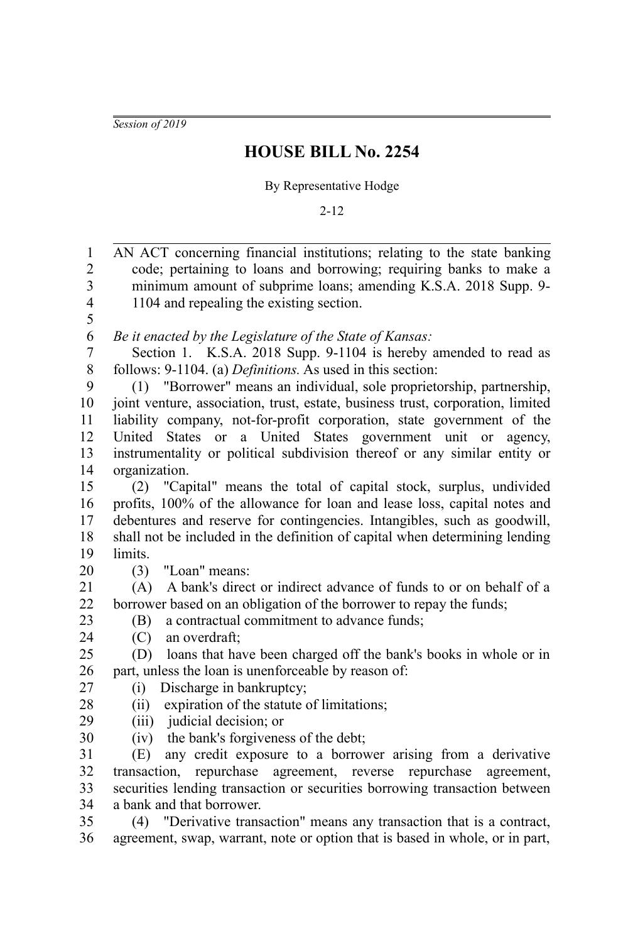*Session of 2019*

## **HOUSE BILL No. 2254**

## By Representative Hodge

2-12

| $\mathbf{1}$            | AN ACT concerning financial institutions; relating to the state banking         |
|-------------------------|---------------------------------------------------------------------------------|
| $\overline{c}$          | code; pertaining to loans and borrowing; requiring banks to make a              |
| $\overline{\mathbf{3}}$ | minimum amount of subprime loans; amending K.S.A. 2018 Supp. 9-                 |
| $\overline{4}$          | 1104 and repealing the existing section.                                        |
| 5                       |                                                                                 |
| 6                       | Be it enacted by the Legislature of the State of Kansas:                        |
| 7                       | Section 1. K.S.A. 2018 Supp. 9-1104 is hereby amended to read as                |
| $8\,$                   | follows: 9-1104. (a) Definitions. As used in this section:                      |
| 9                       | "Borrower" means an individual, sole proprietorship, partnership,<br>(1)        |
| 10                      | joint venture, association, trust, estate, business trust, corporation, limited |
| 11                      | liability company, not-for-profit corporation, state government of the          |
| 12                      | States or a United States government unit or agency,<br>United                  |
| 13                      | instrumentality or political subdivision thereof or any similar entity or       |
| 14                      | organization.                                                                   |
| 15                      | "Capital" means the total of capital stock, surplus, undivided<br>(2)           |
| 16                      | profits, 100% of the allowance for loan and lease loss, capital notes and       |
| 17                      | debentures and reserve for contingencies. Intangibles, such as goodwill,        |
| 18                      | shall not be included in the definition of capital when determining lending     |
| 19                      | limits.                                                                         |
| 20                      | (3)<br>"Loan" means:                                                            |
| 21                      | A bank's direct or indirect advance of funds to or on behalf of a<br>(A)        |
| 22                      | borrower based on an obligation of the borrower to repay the funds;             |
| 23                      | a contractual commitment to advance funds;<br>(B)                               |
| 24                      | an overdraft;<br>(C)                                                            |
| 25                      | loans that have been charged off the bank's books in whole or in<br>(D)         |
| 26                      | part, unless the loan is unenforceable by reason of:                            |
| 27                      | Discharge in bankruptcy;<br>(i)                                                 |
| 28                      | expiration of the statute of limitations;<br>(ii)                               |
| 29                      | (iii) judicial decision; or                                                     |
| 30                      | (iv) the bank's forgiveness of the debt;                                        |
| 31                      | any credit exposure to a borrower arising from a derivative<br>(E)              |
| 32                      | transaction, repurchase agreement, reverse repurchase agreement,                |
| 33                      | securities lending transaction or securities borrowing transaction between      |
| 34                      | a bank and that borrower.                                                       |
| 35                      | (4) "Derivative transaction" means any transaction that is a contract,          |

agreement, swap, warrant, note or option that is based in whole, or in part, 36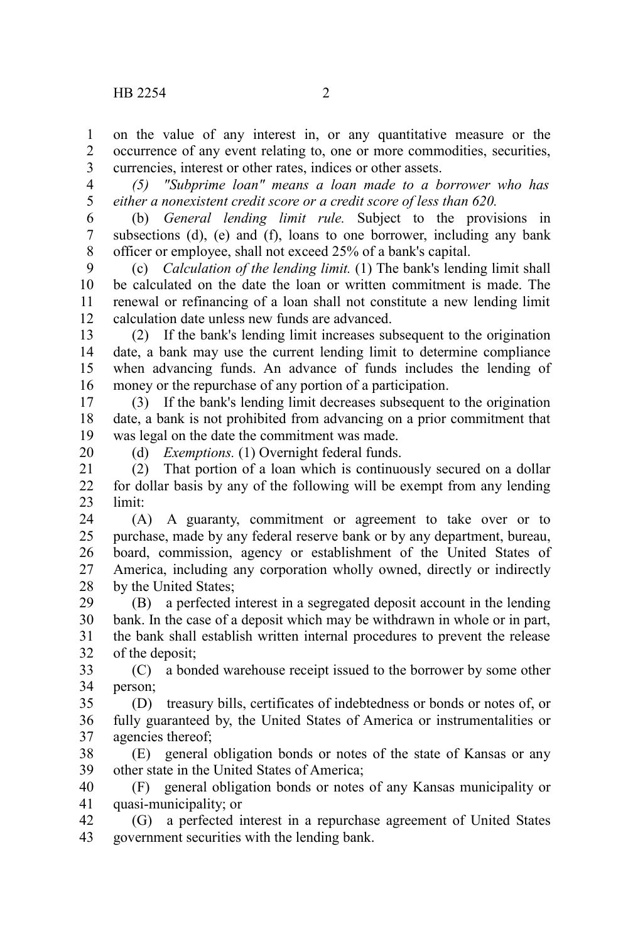on the value of any interest in, or any quantitative measure or the occurrence of any event relating to, one or more commodities, securities, currencies, interest or other rates, indices or other assets. 1  $\mathcal{L}$ 3

*(5) "Subprime loan" means a loan made to a borrower who has either a nonexistent credit score or a credit score of less than 620.* 4 5

(b) *General lending limit rule.* Subject to the provisions in subsections (d), (e) and (f), loans to one borrower, including any bank officer or employee, shall not exceed 25% of a bank's capital. 6 7 8

(c) *Calculation of the lending limit.* (1) The bank's lending limit shall be calculated on the date the loan or written commitment is made. The renewal or refinancing of a loan shall not constitute a new lending limit calculation date unless new funds are advanced.  $\mathbf{Q}$ 10 11 12

(2) If the bank's lending limit increases subsequent to the origination date, a bank may use the current lending limit to determine compliance when advancing funds. An advance of funds includes the lending of money or the repurchase of any portion of a participation. 13 14 15 16

(3) If the bank's lending limit decreases subsequent to the origination date, a bank is not prohibited from advancing on a prior commitment that was legal on the date the commitment was made. 17 18 19

(d) *Exemptions.* (1) Overnight federal funds.

20

(2) That portion of a loan which is continuously secured on a dollar for dollar basis by any of the following will be exempt from any lending limit: 21 22 23

(A) A guaranty, commitment or agreement to take over or to purchase, made by any federal reserve bank or by any department, bureau, board, commission, agency or establishment of the United States of America, including any corporation wholly owned, directly or indirectly by the United States; 24 25 26 27 28

(B) a perfected interest in a segregated deposit account in the lending bank. In the case of a deposit which may be withdrawn in whole or in part, the bank shall establish written internal procedures to prevent the release of the deposit; 29 30 31 32

(C) a bonded warehouse receipt issued to the borrower by some other person; 33 34

(D) treasury bills, certificates of indebtedness or bonds or notes of, or fully guaranteed by, the United States of America or instrumentalities or agencies thereof; 35 36 37

(E) general obligation bonds or notes of the state of Kansas or any other state in the United States of America; 38 39

(F) general obligation bonds or notes of any Kansas municipality or quasi-municipality; or 40 41

(G) a perfected interest in a repurchase agreement of United States government securities with the lending bank. 42 43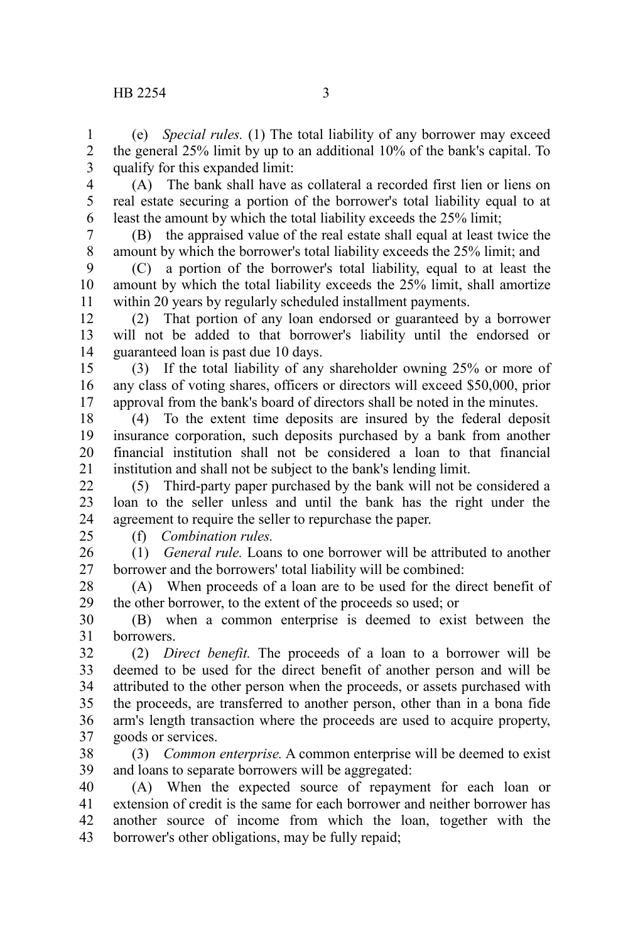(e) *Special rules.* (1) The total liability of any borrower may exceed the general 25% limit by up to an additional 10% of the bank's capital. To qualify for this expanded limit: 1 2 3

(A) The bank shall have as collateral a recorded first lien or liens on real estate securing a portion of the borrower's total liability equal to at least the amount by which the total liability exceeds the 25% limit; 4 5 6

(B) the appraised value of the real estate shall equal at least twice the amount by which the borrower's total liability exceeds the 25% limit; and 7 8

(C) a portion of the borrower's total liability, equal to at least the amount by which the total liability exceeds the 25% limit, shall amortize within 20 years by regularly scheduled installment payments. 9 10 11

(2) That portion of any loan endorsed or guaranteed by a borrower will not be added to that borrower's liability until the endorsed or guaranteed loan is past due 10 days. 12 13 14

(3) If the total liability of any shareholder owning 25% or more of any class of voting shares, officers or directors will exceed \$50,000, prior approval from the bank's board of directors shall be noted in the minutes. 15 16 17

(4) To the extent time deposits are insured by the federal deposit insurance corporation, such deposits purchased by a bank from another financial institution shall not be considered a loan to that financial institution and shall not be subject to the bank's lending limit. 18 19 20 21

(5) Third-party paper purchased by the bank will not be considered a loan to the seller unless and until the bank has the right under the agreement to require the seller to repurchase the paper.  $22$ 23 24

 $25$ 

(f) *Combination rules.*

(1) *General rule.* Loans to one borrower will be attributed to another borrower and the borrowers' total liability will be combined: 26 27

(A) When proceeds of a loan are to be used for the direct benefit of the other borrower, to the extent of the proceeds so used; or 28 29

(B) when a common enterprise is deemed to exist between the borrowers. 30 31

(2) *Direct benefit.* The proceeds of a loan to a borrower will be deemed to be used for the direct benefit of another person and will be attributed to the other person when the proceeds, or assets purchased with the proceeds, are transferred to another person, other than in a bona fide arm's length transaction where the proceeds are used to acquire property, goods or services. 32 33 34 35 36 37

(3) *Common enterprise.* A common enterprise will be deemed to exist and loans to separate borrowers will be aggregated: 38 39

(A) When the expected source of repayment for each loan or extension of credit is the same for each borrower and neither borrower has another source of income from which the loan, together with the borrower's other obligations, may be fully repaid; 40 41 42 43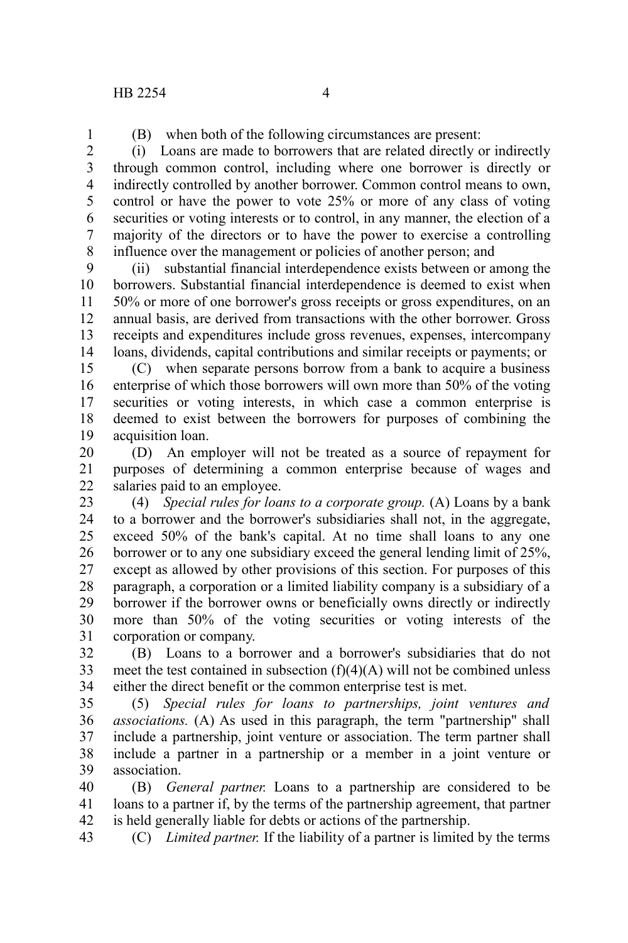1

(B) when both of the following circumstances are present:

(i) Loans are made to borrowers that are related directly or indirectly through common control, including where one borrower is directly or indirectly controlled by another borrower. Common control means to own, control or have the power to vote 25% or more of any class of voting securities or voting interests or to control, in any manner, the election of a majority of the directors or to have the power to exercise a controlling influence over the management or policies of another person; and 2 3 4 5 6 7 8

(ii) substantial financial interdependence exists between or among the borrowers. Substantial financial interdependence is deemed to exist when 50% or more of one borrower's gross receipts or gross expenditures, on an annual basis, are derived from transactions with the other borrower. Gross receipts and expenditures include gross revenues, expenses, intercompany loans, dividends, capital contributions and similar receipts or payments; or 9 10 11 12 13 14

(C) when separate persons borrow from a bank to acquire a business enterprise of which those borrowers will own more than 50% of the voting securities or voting interests, in which case a common enterprise is deemed to exist between the borrowers for purposes of combining the acquisition loan. 15 16 17 18 19

(D) An employer will not be treated as a source of repayment for purposes of determining a common enterprise because of wages and salaries paid to an employee. 20 21 22

(4) *Special rules for loans to a corporate group.* (A) Loans by a bank to a borrower and the borrower's subsidiaries shall not, in the aggregate, exceed 50% of the bank's capital. At no time shall loans to any one borrower or to any one subsidiary exceed the general lending limit of 25%, except as allowed by other provisions of this section. For purposes of this paragraph, a corporation or a limited liability company is a subsidiary of a borrower if the borrower owns or beneficially owns directly or indirectly more than 50% of the voting securities or voting interests of the corporation or company. 23 24 25 26 27 28 29 30 31

(B) Loans to a borrower and a borrower's subsidiaries that do not meet the test contained in subsection  $(f)(4)(A)$  will not be combined unless either the direct benefit or the common enterprise test is met. 32 33 34

(5) *Special rules for loans to partnerships, joint ventures and associations.* (A) As used in this paragraph, the term "partnership" shall include a partnership, joint venture or association. The term partner shall include a partner in a partnership or a member in a joint venture or association. 35 36 37 38 39

(B) *General partner.* Loans to a partnership are considered to be loans to a partner if, by the terms of the partnership agreement, that partner is held generally liable for debts or actions of the partnership. 40 41 42

(C) *Limited partner.* If the liability of a partner is limited by the terms 43